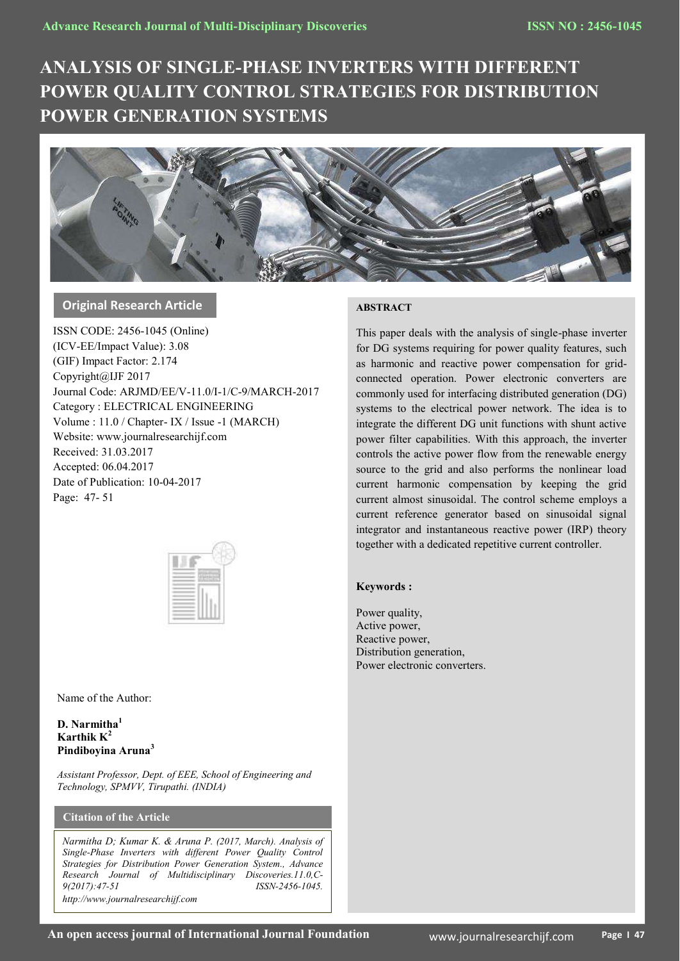# **ANALYSIS OF SINGLE-PHASE INVERTERS WITH DIFFERENT POWER QUALITY CONTROL STRATEGIES FOR DISTRIBUTION POWER GENERATION SYSTEMS**



# **Original Research Article**

ISSN CODE: 2456-1045 (Online) (ICV-EE/Impact Value): 3.08 (GIF) Impact Factor: 2.174 Copyright@IJF 2017 Journal Code: ARJMD/EE/V-11.0/I-1/C-9/MARCH-2017 Category : ELECTRICAL ENGINEERING Volume : 11.0 / Chapter- IX / Issue -1 (MARCH) Website: www.journalresearchijf.com Received: 31.03.2017 Accepted: 06.04.2017 Date of Publication: 10-04-2017 Page: 47- 51

|  | ï<br>× |
|--|--------|
|  |        |
|  |        |
|  |        |

Name of the Author:

**D. Narmitha<sup>1</sup> Karthik K<sup>2</sup> Pindiboyina Aruna<sup>3</sup>**

*Assistant Professor, Dept. of EEE, School of Engineering and Technology, SPMVV, Tirupathi. (INDIA)*

# **Citation of the Article**

*Narmitha D; Kumar K. & Aruna P. (2017, March). Analysis of Single-Phase Inverters with different Power Quality Control Strategies for Distribution Power Generation System., Advance Research Journal of Multidisciplinary Discoveries.11.0,C-9(2017):47-51 ISSN-2456-1045. http://www.journalresearchijf.com***e;**

# **ABSTRACT**

This paper deals with the analysis of single-phase inverter for DG systems requiring for power quality features, such as harmonic and reactive power compensation for gridconnected operation. Power electronic converters are commonly used for interfacing distributed generation (DG) systems to the electrical power network. The idea is to integrate the different DG unit functions with shunt active power filter capabilities. With this approach, the inverter controls the active power flow from the renewable energy source to the grid and also performs the nonlinear load current harmonic compensation by keeping the grid current almost sinusoidal. The control scheme employs a current reference generator based on sinusoidal signal integrator and instantaneous reactive power (IRP) theory together with a dedicated repetitive current controller.

## **Keywords :**

Power quality, Active power, Reactive power, Distribution generation, Power electronic converters.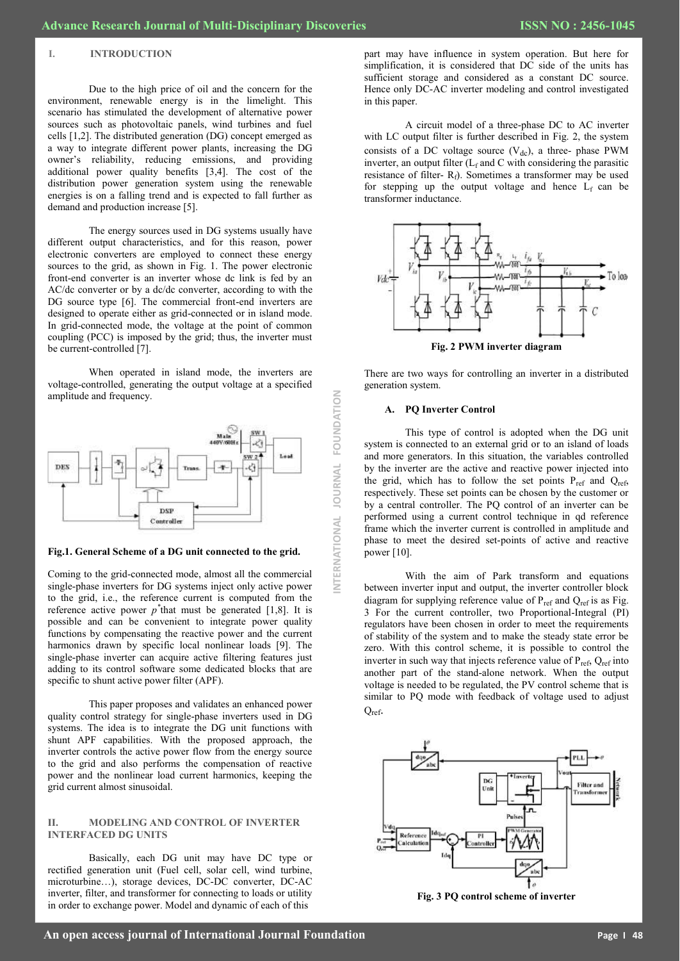#### **I. INTRODUCTION**

Due to the high price of oil and the concern for the environment, renewable energy is in the limelight. This scenario has stimulated the development of alternative power sources such as photovoltaic panels, wind turbines and fuel cells [1,2]. The distributed generation (DG) concept emerged as a way to integrate different power plants, increasing the DG owner's reliability, reducing emissions, and providing additional power quality benefits [3,4]. The cost of the distribution power generation system using the renewable energies is on a falling trend and is expected to fall further as demand and production increase [5].

The energy sources used in DG systems usually have different output characteristics, and for this reason, power electronic converters are employed to connect these energy sources to the grid, as shown in Fig. 1. The power electronic front-end converter is an inverter whose dc link is fed by an AC/dc converter or by a dc/dc converter, according to with the DG source type [6]. The commercial front-end inverters are designed to operate either as grid-connected or in island mode. In grid-connected mode, the voltage at the point of common coupling (PCC) is imposed by the grid; thus, the inverter must be current-controlled [7].

When operated in island mode, the inverters are voltage-controlled, generating the output voltage at a specified amplitude and frequency.



**Fig.1. General Scheme of a DG unit connected to the grid.**

Coming to the grid-connected mode, almost all the commercial single-phase inverters for DG systems inject only active power to the grid, i.e., the reference current is computed from the reference active power  $p^*$  that must be generated [1,8]. It is possible and can be convenient to integrate power quality functions by compensating the reactive power and the current harmonics drawn by specific local nonlinear loads [9]. The single-phase inverter can acquire active filtering features just adding to its control software some dedicated blocks that are specific to shunt active power filter (APF).

This paper proposes and validates an enhanced power quality control strategy for single-phase inverters used in DG systems. The idea is to integrate the DG unit functions with shunt APF capabilities. With the proposed approach, the inverter controls the active power flow from the energy source to the grid and also performs the compensation of reactive power and the nonlinear load current harmonics, keeping the grid current almost sinusoidal.

## **II. MODELING AND CONTROL OF INVERTER INTERFACED DG UNITS**

Basically, each DG unit may have DC type or rectified generation unit (Fuel cell, solar cell, wind turbine, microturbine…), storage devices, DC-DC converter, DC-AC inverter, filter, and transformer for connecting to loads or utility in order to exchange power. Model and dynamic of each of this

part may have influence in system operation. But here for simplification, it is considered that DC side of the units has sufficient storage and considered as a constant DC source. Hence only DC-AC inverter modeling and control investigated in this paper.

A circuit model of a three-phase DC to AC inverter with LC output filter is further described in Fig. 2, the system consists of a DC voltage source  $(V_{dc})$ , a three- phase PWM inverter, an output filter  $(L_f$  and C with considering the parasitic resistance of filter- $R_f$ ). Sometimes a transformer may be used for stepping up the output voltage and hence  $L_f$  can be transformer inductance.



There are two ways for controlling an inverter in a distributed generation system.

#### **A. PQ Inverter Control**

**INTERNATIONAL JOURNAL FOUNDATION**

**JOURNAL** 

NTERNATIONAL

FOUNDATION

This type of control is adopted when the DG unit system is connected to an external grid or to an island of loads and more generators. In this situation, the variables controlled by the inverter are the active and reactive power injected into the grid, which has to follow the set points  $P_{ref}$  and  $Q_{ref}$ , respectively. These set points can be chosen by the customer or by a central controller. The PQ control of an inverter can be performed using a current control technique in qd reference frame which the inverter current is controlled in amplitude and phase to meet the desired set-points of active and reactive power  $[10]$ .

With the aim of Park transform and equations between inverter input and output, the inverter controller block diagram for supplying reference value of  $P_{ref}$  and  $Q_{ref}$  is as Fig. 3 For the current controller, two Proportional-Integral (PI) regulators have been chosen in order to meet the requirements of stability of the system and to make the steady state error be zero. With this control scheme, it is possible to control the inverter in such way that injects reference value of  $P_{ref}$ ,  $Q_{ref}$  into another part of the stand-alone network. When the output voltage is needed to be regulated, the PV control scheme that is similar to PQ mode with feedback of voltage used to adjust Qref.



**Fig. 3 PQ control scheme of inverter**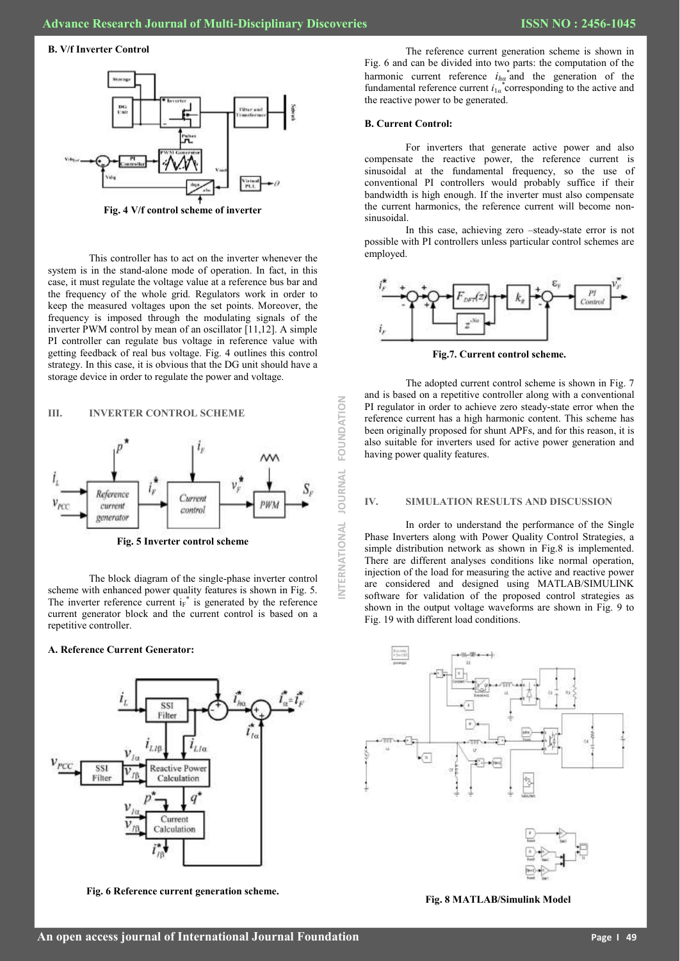#### **B. V/f Inverter Control**



**Fig. 4 V/f control scheme of inverter**

This controller has to act on the inverter whenever the system is in the stand-alone mode of operation. In fact, in this case, it must regulate the voltage value at a reference bus bar and the frequency of the whole grid. Regulators work in order to keep the measured voltages upon the set points. Moreover, the frequency is imposed through the modulating signals of the inverter PWM control by mean of an oscillator [11,12]. A simple PI controller can regulate bus voltage in reference value with getting feedback of real bus voltage. Fig. 4 outlines this control strategy. In this case, it is obvious that the DG unit should have a storage device in order to regulate the power and voltage.

#### **III. INVERTER CONTROL SCHEME**



**Fig. 5 Inverter control scheme**

The block diagram of the single-phase inverter control scheme with enhanced power quality features is shown in Fig. 5. The inverter reference current  $i_F^*$  is generated by the reference current generator block and the current control is based on a repetitive controller.

#### **A. Reference Current Generator:**



**Fig. 6 Reference current generation scheme.**

The reference current generation scheme is shown in Fig. 6 and can be divided into two parts: the computation of the harmonic current reference  $i_{ha}^*$  and the generation of the fundamental reference current  $i_{1\alpha}$ <sup>\*</sup> corresponding to the active and the reactive power to be generated.

#### **B. Current Control:**

**INTERNATIONAL JOURNAL FOUNDATION**

ERNATIONAL

İ

**JOURNAL** 

FOUNDATION

For inverters that generate active power and also compensate the reactive power, the reference current is sinusoidal at the fundamental frequency, so the use of conventional PI controllers would probably suffice if their bandwidth is high enough. If the inverter must also compensate the current harmonics, the reference current will become nonsinusoidal.

In this case, achieving zero –steady-state error is not possible with PI controllers unless particular control schemes are employed.



**Fig.7. Current control scheme.**

The adopted current control scheme is shown in Fig. 7 and is based on a repetitive controller along with a conventional PI regulator in order to achieve zero steady-state error when the reference current has a high harmonic content. This scheme has been originally proposed for shunt APFs, and for this reason, it is also suitable for inverters used for active power generation and having power quality features.

#### **IV. SIMULATION RESULTS AND DISCUSSION**

In order to understand the performance of the Single Phase Inverters along with Power Quality Control Strategies, a simple distribution network as shown in Fig.8 is implemented. There are different analyses conditions like normal operation, injection of the load for measuring the active and reactive power are considered and designed using MATLAB/SIMULINK software for validation of the proposed control strategies as shown in the output voltage waveforms are shown in Fig. 9 to Fig. 19 with different load conditions.



**Fig. 8 MATLAB/Simulink Model**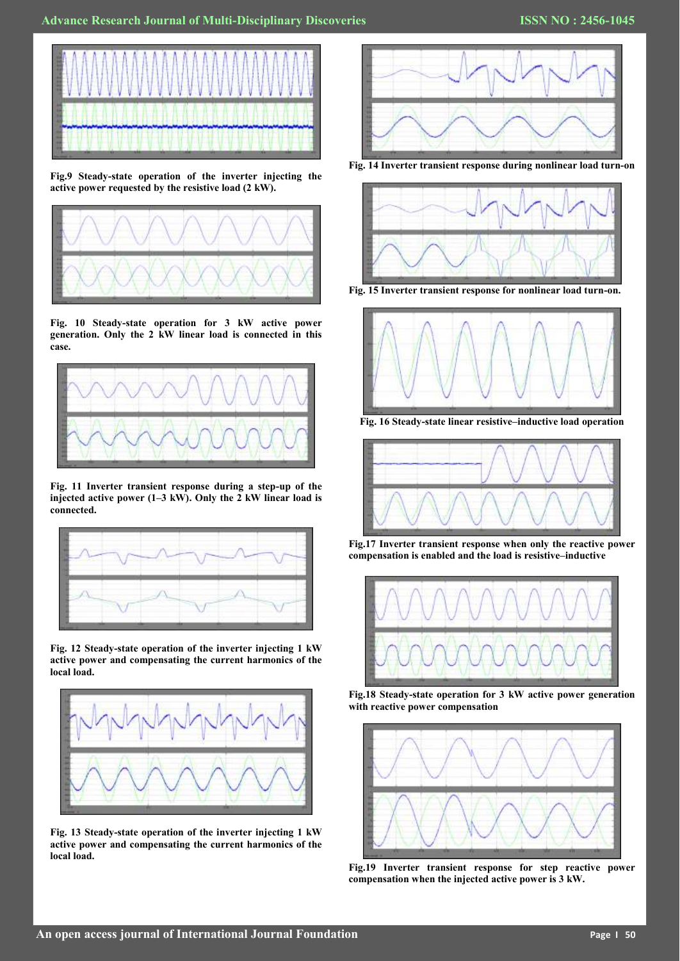

**Fig.9 Steady-state operation of the inverter injecting the active power requested by the resistive load (2 kW).**



**Fig. 10 Steady-state operation for 3 kW active power generation. Only the 2 kW linear load is connected in this case.**



**Fig. 11 Inverter transient response during a step-up of the injected active power (1–3 kW). Only the 2 kW linear load is connected.**



**Fig. 12 Steady-state operation of the inverter injecting 1 kW active power and compensating the current harmonics of the local load.**



**Fig. 13 Steady-state operation of the inverter injecting 1 kW active power and compensating the current harmonics of the local load.**



**Fig. 14 Inverter transient response during nonlinear load turn-on**



**Fig. 15 Inverter transient response for nonlinear load turn-on.**



**Fig. 16 Steady-state linear resistive–inductive load operation**



**Fig.17 Inverter transient response when only the reactive power compensation is enabled and the load is resistive–inductive**



**Fig.18 Steady-state operation for 3 kW active power generation with reactive power compensation**



**Fig.19 Inverter transient response for step reactive power compensation when the injected active power is 3 kW.**